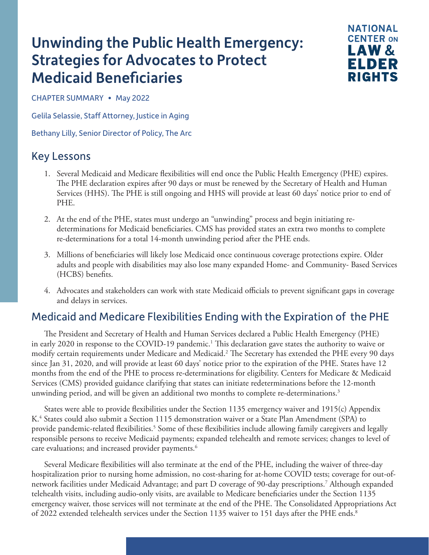# <span id="page-0-0"></span>Unwinding the Public Health Emergency: Strategies for Advocates to Protect Medicaid Beneficiaries



CHAPTER SUMMARY • May 2022

Gelila Selassie, Staff Attorney, Justice in Aging

Bethany Lilly, Senior Director of Policy, The Arc

## Key Lessons

- 1. Several Medicaid and Medicare flexibilities will end once the Public Health Emergency (PHE) expires. The PHE declaration expires after 90 days or must be renewed by the Secretary of Health and Human Services (HHS). The PHE is still ongoing and HHS will provide at least 60 days' notice prior to end of PHE.
- 2. At the end of the PHE, states must undergo an "unwinding" process and begin initiating redeterminations for Medicaid beneficiaries. CMS has provided states an extra two months to complete re-determinations for a total 14-month unwinding period after the PHE ends.
- 3. Millions of beneficiaries will likely lose Medicaid once continuous coverage protections expire. Older adults and people with disabilities may also lose many expanded Home- and Community- Based Services (HCBS) benefits.
- 4. Advocates and stakeholders can work with state Medicaid officials to prevent significant gaps in coverage and delays in services.

### Medicaid and Medicare Flexibilities Ending with the Expiration of the PHE

The President and Secretary of Health and Human Services declared a Public Health Emergency (PHE) in early 2020 in response to the COVID-19 pandemic.<sup>1</sup> This declaration gave states the authority to waive or modify certain requirements under Medicare and Medicaid[.2](#page-3-0) The Secretary has extended the PHE every 90 days since Jan 31, 2020, and will provide at least 60 days' notice prior to the expiration of the PHE. States have 12 months from the end of the PHE to process re-determinations for eligibility. Centers for Medicare & Medicaid Services (CMS) provided guidance clarifying that states can initiate redeterminations before the 12-month unwinding period, and will be given an additional two months to complete re-determinations.<sup>[3](#page-3-0)</sup>

States were able to provide flexibilities under the Section 1135 emergency waiver and 1915(c) Appendix K[.4](#page-3-0) States could also submit a Section 1115 demonstration waiver or a State Plan Amendment (SPA) to provide pandemic-related flexibilities.<sup>[5](#page-3-0)</sup> Some of these flexibilities include allowing family caregivers and legally responsible persons to receive Medicaid payments; expanded telehealth and remote services; changes to level of care evaluations; and increased provider payments.<sup>6</sup>

Several Medicare flexibilities will also terminate at the end of the PHE, including the waiver of three-day hospitalization prior to nursing home admission, no cost-sharing for at-home COVID tests; coverage for out-ofnetwork facilities under Medicaid Advantage; and part D coverage of 90-day prescriptions[.7](#page-3-0) Although expanded telehealth visits, including audio-only visits, are available to Medicare beneficiaries under the Section 1135 emergency waiver, those services will not terminate at the end of the PHE. The Consolidated Appropriations Act of 2022 extended telehealth services under the Section 1135 waiver to 151 days after the PHE ends.<sup>8</sup>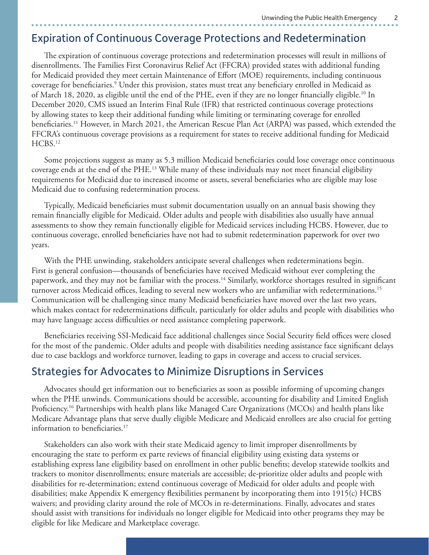#### <span id="page-1-0"></span>Expiration of Continuous Coverage Protections and Redetermination

The expiration of continuous coverage protections and redetermination processes will result in millions of disenrollments. The Families First Coronavirus Relief Act (FFCRA) provided states with additional funding for Medicaid provided they meet certain Maintenance of Effort (MOE) requirements, including continuous coverage for beneficiaries.<sup>9</sup> Under this provision, states must treat any beneficiary enrolled in Medicaid as of March 18, 2020, as eligible until the end of the PHE, even if they are no longer financially eligible[.10](#page-3-0) In December 2020, CMS issued an Interim Final Rule (IFR) that restricted continuous coverage protections by allowing states to keep their additional funding while limiting or terminating coverage for enrolled beneficiaries[.11](#page-3-0) However, in March 2021, the American Rescue Plan Act (ARPA) was passed, which extended the FFCRA's continuous coverage provisions as a requirement for states to receive additional funding for Medicaid HCBS.<sup>12</sup>

Some projections suggest as many as 5.3 million Medicaid beneficiaries could lose coverage once continuous coverage ends at the end of the PHE.<sup>13</sup> While many of these individuals may not meet financial eligibility requirements for Medicaid due to increased income or assets, several beneficiaries who are eligible may lose Medicaid due to confusing redetermination process.

Typically, Medicaid beneficiaries must submit documentation usually on an annual basis showing they remain financially eligible for Medicaid. Older adults and people with disabilities also usually have annual assessments to show they remain functionally eligible for Medicaid services including HCBS. However, due to continuous coverage, enrolled beneficiaries have not had to submit redetermination paperwork for over two years.

With the PHE unwinding, stakeholders anticipate several challenges when redeterminations begin. First is general confusion—thousands of beneficiaries have received Medicaid without ever completing the paperwork, and they may not be familiar with the process.<sup>14</sup> Similarly, workforce shortages resulted in significant turnover across Medicaid offices, leading to several new workers who are unfamiliar with redeterminations.<sup>15</sup> Communication will be challenging since many Medicaid beneficiaries have moved over the last two years, which makes contact for redeterminations difficult, particularly for older adults and people with disabilities who may have language access difficulties or need assistance completing paperwork.

Beneficiaries receiving SSI-Medicaid face additional challenges since Social Security field offices were closed for the most of the pandemic. Older adults and people with disabilities needing assistance face significant delays due to case backlogs and workforce turnover, leading to gaps in coverage and access to crucial services.

#### Strategies for Advocates to Minimize Disruptions in Services

Advocates should get information out to beneficiaries as soon as possible informing of upcoming changes when the PHE unwinds. Communications should be accessible, accounting for disability and Limited English Proficiency[.16](#page-3-0) Partnerships with health plans like Managed Care Organizations (MCOs) and health plans like Medicare Advantage plans that serve dually eligible Medicare and Medicaid enrollees are also crucial for getting information to beneficiaries.<sup>[17](#page-3-0)</sup>

Stakeholders can also work with their state Medicaid agency to limit improper disenrollments by encouraging the state to perform ex parte reviews of financial eligibility using existing data systems or establishing express lane eligibility based on enrollment in other public benefits; develop statewide toolkits and trackers to monitor disenrollments; ensure materials are accessible; de-prioritize older adults and people with disabilities for re-determination; extend continuous coverage of Medicaid for older adults and people with disabilities; make Appendix K emergency flexibilities permanent by incorporating them into 1915(c) HCBS waivers; and providing clarity around the role of MCOs in re-determinations. Finally, advocates and states should assist with transitions for individuals no longer eligible for Medicaid into other programs they may be eligible for like Medicare and Marketplace coverage.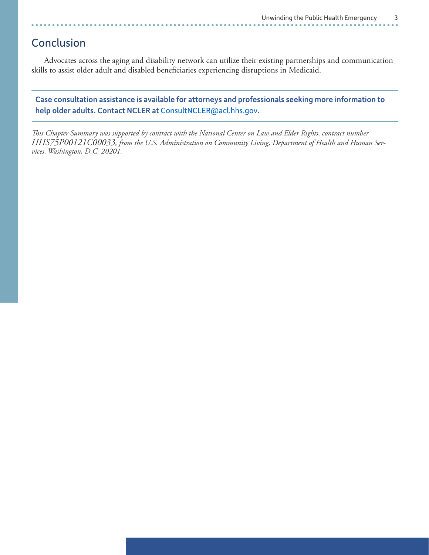## Conclusion

Advocates across the aging and disability network can utilize their existing partnerships and communication skills to assist older adult and disabled beneficiaries experiencing disruptions in Medicaid.

Case consultation assistance is available for attorneys and professionals seeking more information to help older adults. Contact NCLER at [ConsultNCLER@acl.hhs.gov](mailto:ConsultNCLER%40acl.hhs.gov?subject=).

*This Chapter Summary was supported by contract with the National Center on Law and Elder Rights, contract number HHS75P00121C00033, from the U.S. Administration on Community Living, Department of Health and Human Services, Washington, D.C. 20201.*